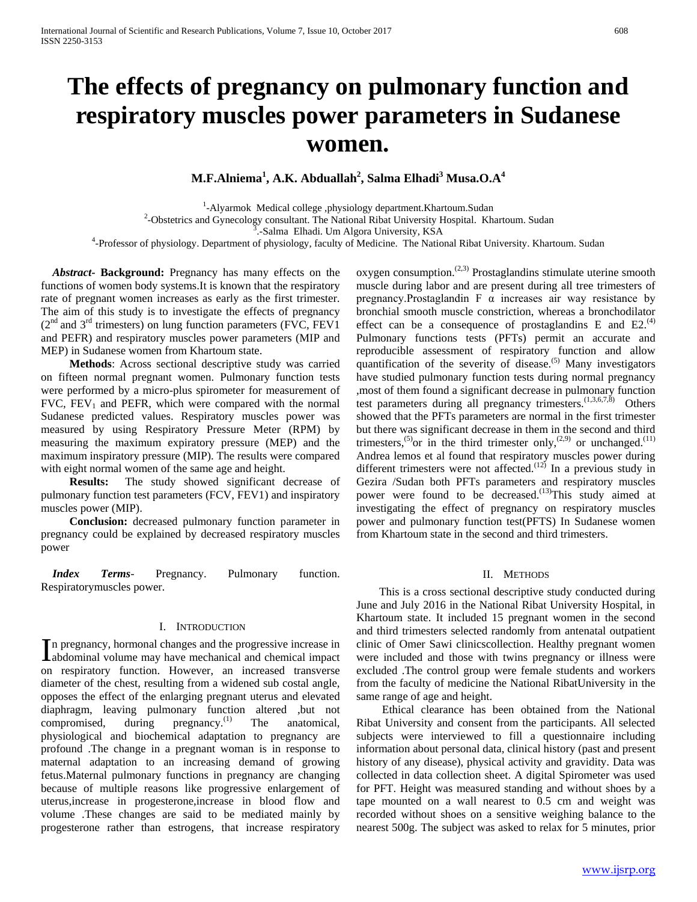# **The effects of pregnancy on pulmonary function and respiratory muscles power parameters in Sudanese women.**

**M.F.Alniema<sup>1</sup> , A.K. Abduallah2 , Salma Elhadi<sup>3</sup> Musa.O.A<sup>4</sup>**

<sup>1</sup>-Alyarmok Medical college ,physiology department.Khartoum.Sudan<sup>2</sup> Obstative and Guneselegy consultant. The Metional Pibet University Hespital. Kh

<sup>2</sup>-Obstetrics and Gynecology consultant. The National Ribat University Hospital. Khartoum. Sudan 3.-Salma Elhadi. Um Algora University, KSA

.-Salma Elhadi. Um Algora University, KSA 4 -Professor of physiology. Department of physiology, faculty of Medicine. The National Ribat University. Khartoum. Sudan

 *Abstract***- Background:** Pregnancy has many effects on the functions of women body systems.It is known that the respiratory rate of pregnant women increases as early as the first trimester. The aim of this study is to investigate the effects of pregnancy  $(2<sup>nd</sup>$  and  $3<sup>rd</sup>$  trimesters) on lung function parameters (FVC, FEV1 and PEFR) and respiratory muscles power parameters (MIP and MEP) in Sudanese women from Khartoum state.

 **Methods**: Across sectional descriptive study was carried on fifteen normal pregnant women. Pulmonary function tests were performed by a micro-plus spirometer for measurement of FVC,  $FEV<sub>1</sub>$  and PEFR, which were compared with the normal Sudanese predicted values. Respiratory muscles power was measured by using Respiratory Pressure Meter (RPM) by measuring the maximum expiratory pressure (MEP) and the maximum inspiratory pressure (MIP). The results were compared with eight normal women of the same age and height.

 **Results:** The study showed significant decrease of pulmonary function test parameters (FCV, FEV1) and inspiratory muscles power (MIP).

 **Conclusion:** decreased pulmonary function parameter in pregnancy could be explained by decreased respiratory muscles power

 *Index Terms*- Pregnancy. Pulmonary function. Respiratorymuscles power.

### I. INTRODUCTION

n pregnancy, hormonal changes and the progressive increase in In pregnancy, hormonal changes and the progressive increase in abdominal volume may have mechanical and chemical impact on respiratory function. However, an increased transverse diameter of the chest, resulting from a widened sub costal angle, opposes the effect of the enlarging pregnant uterus and elevated diaphragm, leaving pulmonary function altered ,but not compromised, during pregnancy. $^{(1)}$  The anatomical, physiological and biochemical adaptation to pregnancy are profound .The change in a pregnant woman is in response to maternal adaptation to an increasing demand of growing fetus.Maternal pulmonary functions in pregnancy are changing because of multiple reasons like progressive enlargement of uterus,increase in progesterone,increase in blood flow and volume .These changes are said to be mediated mainly by progesterone rather than estrogens, that increase respiratory

oxygen consumption. $(2,3)$  Prostaglandins stimulate uterine smooth muscle during labor and are present during all tree trimesters of pregnancy. Prostaglandin  $F \alpha$  increases air way resistance by bronchial smooth muscle constriction, whereas a bronchodilator effect can be a consequence of prostaglandins  $E$  and  $E2<sup>(4)</sup>$ Pulmonary functions tests (PFTs) permit an accurate and reproducible assessment of respiratory function and allow quantification of the severity of disease. $(5)$  Many investigators have studied pulmonary function tests during normal pregnancy ,most of them found a significant decrease in pulmonary function test parameters during all pregnancy trimesters.<sup>(1,3,6,7,8)</sup> Others showed that the PFTs parameters are normal in the first trimester but there was significant decrease in them in the second and third trimesters,<sup>(5)</sup>or in the third trimester only,<sup>(2,9)</sup> or unchanged.<sup>(11)</sup> Andrea lemos et al found that respiratory muscles power during different trimesters were not affected.<sup>(12)</sup> In a previous study in Gezira /Sudan both PFTs parameters and respiratory muscles power were found to be decreased.<sup>(13)</sup>This study aimed at investigating the effect of pregnancy on respiratory muscles power and pulmonary function test(PFTS) In Sudanese women from Khartoum state in the second and third trimesters.

### II. METHODS

 This is a cross sectional descriptive study conducted during June and July 2016 in the National Ribat University Hospital, in Khartoum state. It included 15 pregnant women in the second and third trimesters selected randomly from antenatal outpatient clinic of Omer Sawi clinicscollection. Healthy pregnant women were included and those with twins pregnancy or illness were excluded .The control group were female students and workers from the faculty of medicine the National RibatUniversity in the same range of age and height.

 Ethical clearance has been obtained from the National Ribat University and consent from the participants. All selected subjects were interviewed to fill a questionnaire including information about personal data, clinical history (past and present history of any disease), physical activity and gravidity. Data was collected in data collection sheet. A digital Spirometer was used for PFT. Height was measured standing and without shoes by a tape mounted on a wall nearest to 0.5 cm and weight was recorded without shoes on a sensitive weighing balance to the nearest 500g. The subject was asked to relax for 5 minutes, prior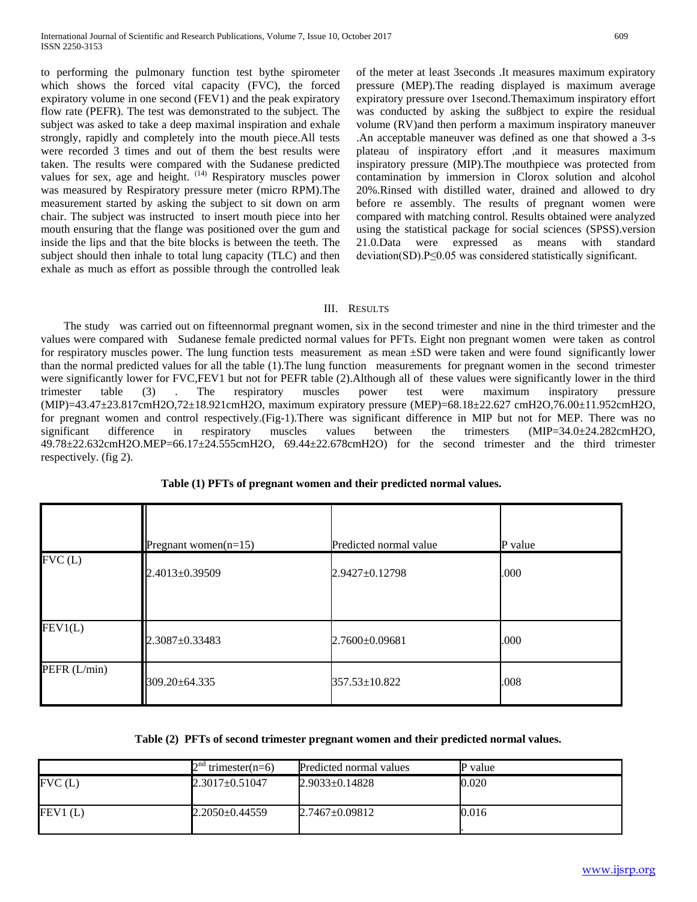to performing the pulmonary function test bythe spirometer which shows the forced vital capacity (FVC), the forced expiratory volume in one second (FEV1) and the peak expiratory flow rate (PEFR). The test was demonstrated to the subject. The subject was asked to take a deep maximal inspiration and exhale strongly, rapidly and completely into the mouth piece.All tests were recorded 3 times and out of them the best results were taken. The results were compared with the Sudanese predicted values for sex, age and height.  $(14)$  Respiratory muscles power was measured by Respiratory pressure meter (micro RPM).The measurement started by asking the subject to sit down on arm chair. The subject was instructed to insert mouth piece into her mouth ensuring that the flange was positioned over the gum and inside the lips and that the bite blocks is between the teeth. The subject should then inhale to total lung capacity (TLC) and then exhale as much as effort as possible through the controlled leak of the meter at least 3seconds .It measures maximum expiratory pressure (MEP).The reading displayed is maximum average expiratory pressure over 1second.Themaximum inspiratory effort was conducted by asking the su8bject to expire the residual volume (RV)and then perform a maximum inspiratory maneuver .An acceptable maneuver was defined as one that showed a 3-s plateau of inspiratory effort ,and it measures maximum inspiratory pressure (MIP).The mouthpiece was protected from contamination by immersion in Clorox solution and alcohol 20%.Rinsed with distilled water, drained and allowed to dry before re assembly. The results of pregnant women were compared with matching control. Results obtained were analyzed using the statistical package for social sciences (SPSS).version 21.0.Data were expressed as means with standard deviation(SD).P≤0.05 was considered statistically significant.

### III. RESULTS

 The study was carried out on fifteennormal pregnant women, six in the second trimester and nine in the third trimester and the values were compared with Sudanese female predicted normal values for PFTs. Eight non pregnant women were taken as control for respiratory muscles power. The lung function tests measurement as mean  $\pm SD$  were taken and were found significantly lower than the normal predicted values for all the table (1).The lung function measurements for pregnant women in the second trimester were significantly lower for FVC,FEV1 but not for PEFR table (2).Although all of these values were significantly lower in the third trimester table (3) . The respiratory muscles power test were maximum inspiratory pressure (MIP)=43.47±23.817cmH2O,72±18.921cmH2O, maximum expiratory pressure (MEP)=68.18±22.627 cmH2O,76.00±11.952cmH2O, for pregnant women and control respectively.(Fig-1).There was significant difference in MIP but not for MEP. There was no significant difference in respiratory muscles values between the trimesters (MIP=34.0±24.282cmH2O, 49.78±22.632cmH2O.MEP=66.17±24.555cmH2O, 69.44±22.678cmH2O) for the second trimester and the third trimester respectively. (fig 2).

|              | Pregnant women $(n=15)$ | Predicted normal value | P value |
|--------------|-------------------------|------------------------|---------|
| FVC(L)       | 2.4013±0.39509          | 2.9427±0.12798         | .000    |
| FEV1(L)      | 2.3087±0.33483          | 2.7600±0.09681         | .000    |
| PEFR (L/min) | 309.20±64.335           | 357.53±10.822          | .008    |

**Table (1) PFTs of pregnant women and their predicted normal values.**

**Table (2) PFTs of second trimester pregnant women and their predicted normal values.**

|         | $\gamma$ nd<br>" trimester(n=6) | Predicted normal values | P value |
|---------|---------------------------------|-------------------------|---------|
| FVC(L)  | $2.3017 + 0.51047$              | $2.9033 \pm 0.14828$    | 0.020   |
| FEV1(L) | $2.2050\pm0.44559$              | $2.7467 \pm 0.09812$    | 0.016   |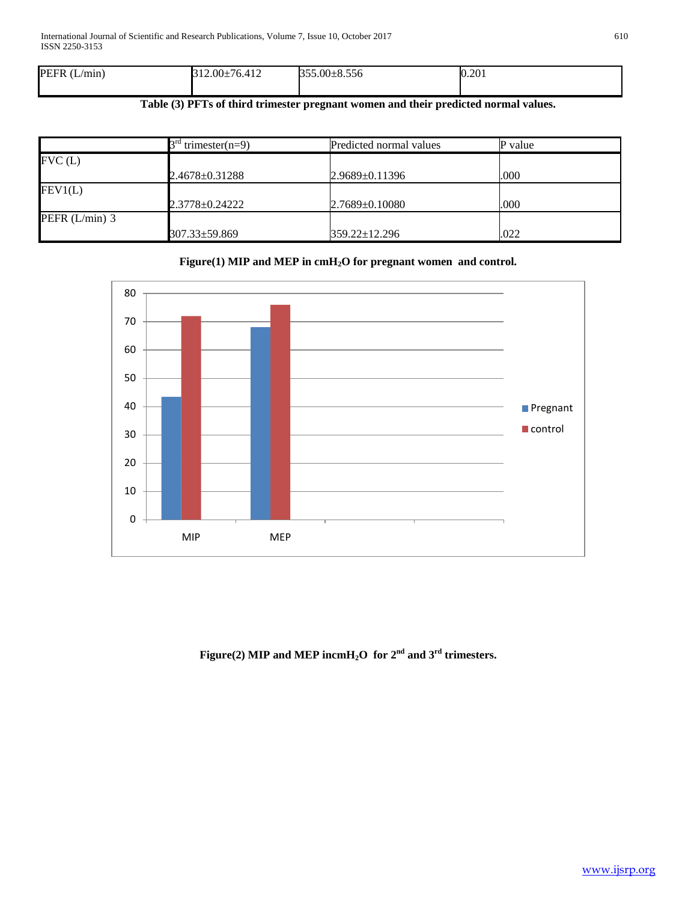| 0.201 |
|-------|
|       |

# **Table (3) PFTs of third trimester pregnant women and their predicted normal values.**

|                  | $3rd$ trimester(n=9) | Predicted normal values | P value |
|------------------|----------------------|-------------------------|---------|
| FVC(L)           |                      |                         |         |
|                  | 2.4678±0.31288       | $2.9689 \pm 0.11396$    | .000    |
| FEV1(L)          |                      |                         |         |
|                  | 2.3778±0.24222       | $2.7689 \pm 0.10080$    | .000    |
| PEFR $(L/min)$ 3 |                      |                         |         |
|                  | 307.33±59.869        | 359.22±12.296           | .022    |

## **Figure(1) MIP and MEP in cmH2O for pregnant women and control.**



# **Figure(2) MIP and MEP incmH2O for 2nd and 3rd trimesters.**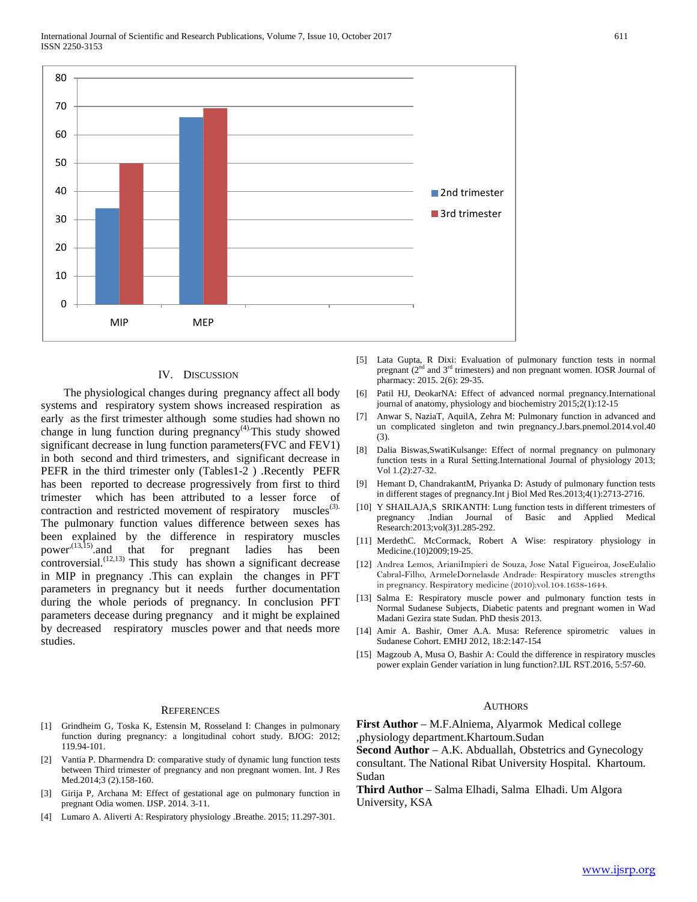

#### IV. DISCUSSION

 The physiological changes during pregnancy affect all body systems and respiratory system shows increased respiration as early as the first trimester although some studies had shown no change in lung function during  $pregnancy<sup>(4)</sup>$ . This study showed significant decrease in lung function parameters(FVC and FEV1) in both second and third trimesters, and significant decrease in PEFR in the third trimester only (Tables1-2 ) .Recently PEFR has been reported to decrease progressively from first to third trimester which has been attributed to a lesser force of contraction and restricted movement of respiratory muscles<sup>(3).</sup> The pulmonary function values difference between sexes has been explained by the difference in respiratory muscles power<sup> $(13,15)$ </sup> and that for pregnant ladies has been controversial.<sup> $(12,13)$ </sup> This study has shown a significant decrease in MIP in pregnancy .This can explain the changes in PFT parameters in pregnancy but it needs further documentation during the whole periods of pregnancy. In conclusion PFT parameters decease during pregnancy and it might be explained by decreased respiratory muscles power and that needs more studies.

#### **REFERENCES**

- [1] Grindheim G, Toska K, Estensin M, Rosseland I: Changes in pulmonary function during pregnancy: a longitudinal cohort study. BJOG: 2012; 119.94-101.
- [2] Vantia P. Dharmendra D: comparative study of dynamic lung function tests between Third trimester of pregnancy and non pregnant women. Int. J Res Med.2014;3 (2).158-160.
- [3] Girija P, Archana M: Effect of gestational age on pulmonary function in pregnant Odia women. IJSP. 2014. 3-11.
- [4] Lumaro A. Aliverti A: Respiratory physiology .Breathe. 2015; 11.297-301.
- [5] Lata Gupta, R Dixi: Evaluation of pulmonary function tests in normal pregnant (2nd and 3rd trimesters) and non pregnant women. IOSR Journal of pharmacy: 2015. 2(6): 29-35.
- [6] Patil HJ, DeokarNA: Effect of advanced normal pregnancy.International journal of anatomy, physiology and biochemistry 2015;2(1):12-15
- [7] Anwar S, NaziaT, AquilA, Zehra M: Pulmonary function in advanced and un complicated singleton and twin pregnancy.J.bars.pnemol.2014.vol.40 (3).
- [8] Dalia Biswas,SwatiKulsange: Effect of normal pregnancy on pulmonary function tests in a Rural Setting.International Journal of physiology 2013; Vol 1.(2):27-32.
- [9] Hemant D, ChandrakantM, Priyanka D: Astudy of pulmonary function tests in different stages of pregnancy.Int j Biol Med Res.2013;4(1):2713-2716.
- [10] Y SHAILAJA,S SRIKANTH: Lung function tests in different trimesters of pregnancy .Indian Journal of Basic and Applied Medical Research:2013;vol(3)1.285-292.
- [11] MerdethC. McCormack, Robert A Wise: respiratory physiology in Medicine.(10)2009;19-25.
- [12] Andrea Lemos, ArianiImpieri de Souza, Jose Natal Figueiroa, JoseEulalio Cabral-Filho, ArmeleDornelasde Andrade: Respiratory muscles strengths in pregnancy. Respiratory medicine (2010):vol.104.1638-1644.
- [13] Salma E: Respiratory muscle power and pulmonary function tests in Normal Sudanese Subjects, Diabetic patents and pregnant women in Wad Madani Gezira state Sudan. PhD thesis 2013.
- [14] Amir A. Bashir, Omer A.A. Musa: Reference spirometric values in Sudanese Cohort. EMHJ 2012, 18:2:147-154
- [15] Magzoub A, Musa O, Bashir A: Could the difference in respiratory muscles power explain Gender variation in lung function?.IJL RST.2016, 5:57-60.

### **AUTHORS**

**First Author** – M.F.Alniema, Alyarmok Medical college ,physiology department.Khartoum.Sudan

**Second Author** – A.K. Abduallah, Obstetrics and Gynecology consultant. The National Ribat University Hospital. Khartoum. Sudan

**Third Author** – Salma Elhadi, Salma Elhadi. Um Algora University, KSA